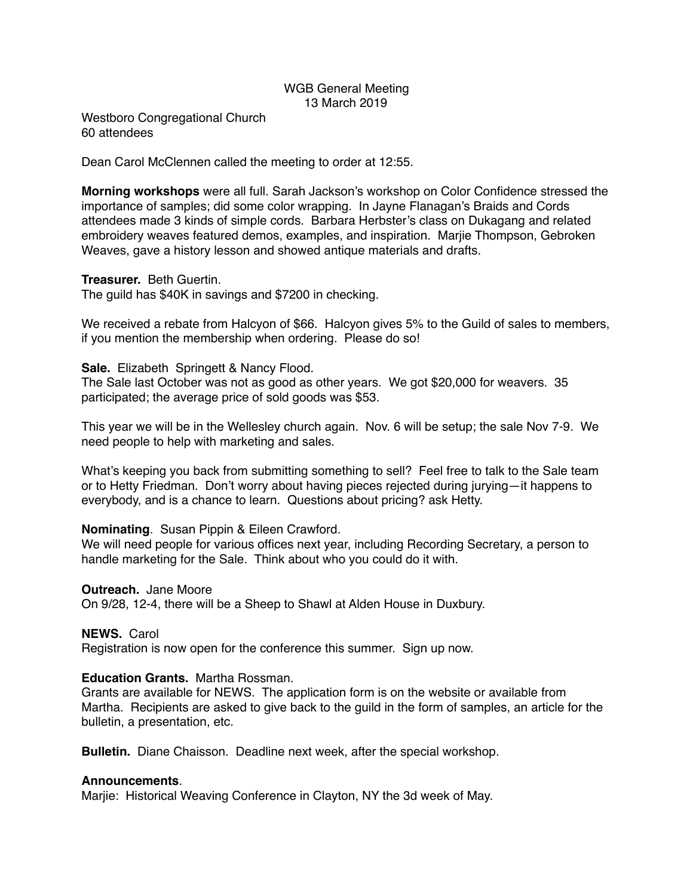# WGB General Meeting 13 March 2019

Westboro Congregational Church 60 attendees

Dean Carol McClennen called the meeting to order at 12:55.

**Morning workshops** were all full. Sarah Jackson's workshop on Color Confidence stressed the importance of samples; did some color wrapping. In Jayne Flanagan's Braids and Cords attendees made 3 kinds of simple cords. Barbara Herbster's class on Dukagang and related embroidery weaves featured demos, examples, and inspiration. Marjie Thompson, Gebroken Weaves, gave a history lesson and showed antique materials and drafts.

### **Treasurer.** Beth Guertin.

The guild has \$40K in savings and \$7200 in checking.

We received a rebate from Halcyon of \$66. Halcyon gives 5% to the Guild of sales to members, if you mention the membership when ordering. Please do so!

**Sale.** Elizabeth Springett & Nancy Flood. The Sale last October was not as good as other years. We got \$20,000 for weavers. 35 participated; the average price of sold goods was \$53.

This year we will be in the Wellesley church again. Nov. 6 will be setup; the sale Nov 7-9. We need people to help with marketing and sales.

What's keeping you back from submitting something to sell? Feel free to talk to the Sale team or to Hetty Friedman. Don't worry about having pieces rejected during jurying—it happens to everybody, and is a chance to learn. Questions about pricing? ask Hetty.

## **Nominating**. Susan Pippin & Eileen Crawford.

We will need people for various offices next year, including Recording Secretary, a person to handle marketing for the Sale. Think about who you could do it with.

#### **Outreach.** Jane Moore

On 9/28, 12-4, there will be a Sheep to Shawl at Alden House in Duxbury.

## **NEWS.** Carol

Registration is now open for the conference this summer. Sign up now.

## **Education Grants.** Martha Rossman.

Grants are available for NEWS. The application form is on the website or available from Martha. Recipients are asked to give back to the guild in the form of samples, an article for the bulletin, a presentation, etc.

**Bulletin.** Diane Chaisson. Deadline next week, after the special workshop.

#### **Announcements**.

Marjie: Historical Weaving Conference in Clayton, NY the 3d week of May.